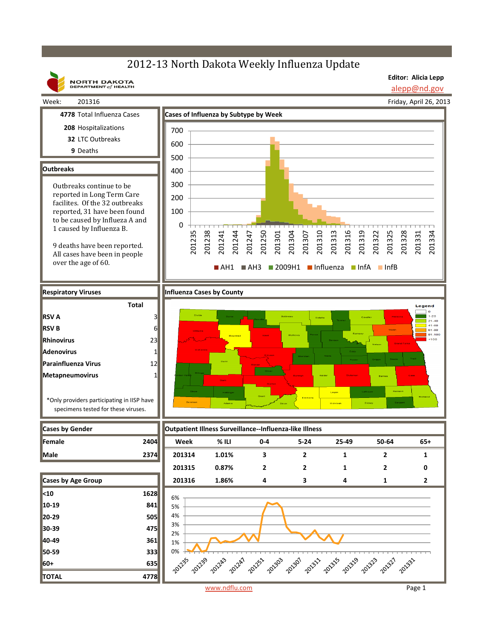## 2012-13 North Dakota Weekly Influenza Update

**NORTH DAKOTA**<br>DEPARTMENT of HEALTH

**Editor: Alicia Lepp** alepp@nd.gov